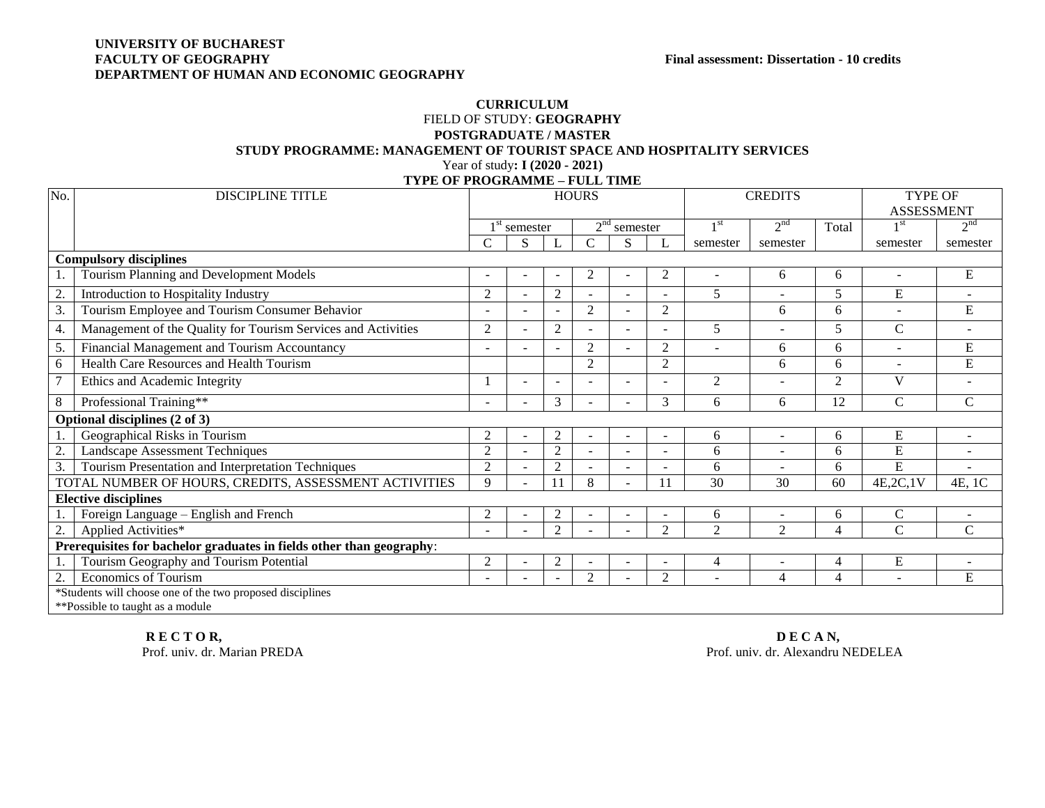## **UNIVERSITY OF BUCHAREST DEPARTMENT OF HUMAN AND ECONOMIC GEOGRAPHY**

## **CURRICULUM** FIELD OF STUDY: **GEOGRAPHY POSTGRADUATE / MASTER STUDY PROGRAMME: MANAGEMENT OF TOURIST SPACE AND HOSPITALITY SERVICES**  Year of study**: I (2020 - 2021) TYPE OF PROGRAMME – FULL TIME**

| No.                                                                  | <b>DISCIPLINE TITLE</b>                                       | <b>HOURS</b>   |                          |                          |                          |                |                          | <b>CREDITS</b> |                 |                | <b>TYPE OF</b>    |                          |
|----------------------------------------------------------------------|---------------------------------------------------------------|----------------|--------------------------|--------------------------|--------------------------|----------------|--------------------------|----------------|-----------------|----------------|-------------------|--------------------------|
|                                                                      |                                                               |                |                          |                          |                          |                |                          |                |                 |                | <b>ASSESSMENT</b> |                          |
|                                                                      |                                                               | $1st$ semester |                          |                          |                          | $2nd$ semester |                          | 1 st           | 2 <sup>nd</sup> | Total          | 1 <sup>st</sup>   | 2 <sup>nd</sup>          |
|                                                                      |                                                               | C              | S                        |                          | $\mathsf{C}$             | S              | L                        | semester       | semester        |                | semester          | semester                 |
|                                                                      | <b>Compulsory disciplines</b>                                 |                |                          |                          |                          |                |                          |                |                 |                |                   |                          |
|                                                                      | Tourism Planning and Development Models                       | $\sim$         |                          |                          | 2                        |                | 2                        |                | 6               | 6              |                   | E                        |
| 2.                                                                   | Introduction to Hospitality Industry                          | $\overline{2}$ |                          | $\mathfrak{2}$           |                          |                |                          | 5              |                 | 5              | E                 |                          |
| $\overline{3}$ .                                                     | Tourism Employee and Tourism Consumer Behavior                |                |                          |                          | 2                        |                | $\overline{2}$           |                | 6               | 6              | $\sim$            | E                        |
| 4.                                                                   | Management of the Quality for Tourism Services and Activities | $\overline{c}$ |                          | $\overline{c}$           |                          |                |                          | 5              |                 | 5              | $\mathbf C$       |                          |
| 5.                                                                   | Financial Management and Tourism Accountancy                  |                |                          |                          | 2                        | $\sim$         | $\overline{2}$           | $\sim$         | 6               | 6              | $\sim$            | E                        |
| 6                                                                    | Health Care Resources and Health Tourism                      |                |                          |                          | $\overline{2}$           |                | $\overline{2}$           |                | 6               | 6              |                   | E                        |
| $\overline{7}$                                                       | Ethics and Academic Integrity                                 |                | $\overline{\phantom{a}}$ | $\overline{\phantom{a}}$ | ٠                        | $\sim$         |                          | 2              | $\blacksquare$  | $\overline{2}$ | $\mathbf{V}$      |                          |
| $8\,$                                                                | Professional Training**                                       |                |                          | 3                        |                          |                | 3                        | 6              | 6               | 12             | $\mathbf C$       | $\overline{C}$           |
|                                                                      | Optional disciplines (2 of 3)                                 |                |                          |                          |                          |                |                          |                |                 |                |                   |                          |
|                                                                      | Geographical Risks in Tourism                                 | 2              |                          | 2                        | $\overline{\phantom{a}}$ |                |                          | 6              | $\blacksquare$  | 6              | E                 |                          |
| 2.                                                                   | <b>Landscape Assessment Techniques</b>                        | $\overline{2}$ |                          | 2                        |                          |                | $\overline{\phantom{a}}$ | 6              |                 | 6              | E                 |                          |
| 3.                                                                   | Tourism Presentation and Interpretation Techniques            | $\overline{c}$ |                          | $\overline{2}$           |                          |                |                          | 6              |                 | 6              | E                 |                          |
|                                                                      | TOTAL NUMBER OF HOURS, CREDITS, ASSESSMENT ACTIVITIES         | 9              |                          |                          | 8                        |                | 11                       | 30             | 30              | 60             | 4E, 2C, 1V        | 4E, 1C                   |
|                                                                      | <b>Elective disciplines</b>                                   |                |                          |                          |                          |                |                          |                |                 |                |                   |                          |
|                                                                      | Foreign Language - English and French                         | $\overline{2}$ |                          | 2                        | $\blacksquare$           |                | $\overline{\phantom{a}}$ | 6              | $\overline{a}$  | 6              | $\mathsf{C}$      | $\overline{\phantom{a}}$ |
| 2.                                                                   | Applied Activities*                                           |                |                          | 2                        |                          |                | $\overline{2}$           | $\overline{2}$ | $\overline{2}$  | 4              | $\mathbf C$       | $\overline{C}$           |
| Prerequisites for bachelor graduates in fields other than geography: |                                                               |                |                          |                          |                          |                |                          |                |                 |                |                   |                          |
| 1.                                                                   | Tourism Geography and Tourism Potential                       | $\overline{2}$ |                          | 2                        |                          |                |                          | 4              |                 | 4              | E                 |                          |
| 2.                                                                   | <b>Economics of Tourism</b>                                   | $\sim$         |                          |                          | $\overline{2}$           |                | $\overline{2}$           |                | $\overline{4}$  | 4              |                   | E                        |
| *Students will choose one of the two proposed disciplines            |                                                               |                |                          |                          |                          |                |                          |                |                 |                |                   |                          |
| **Possible to taught as a module                                     |                                                               |                |                          |                          |                          |                |                          |                |                 |                |                   |                          |

**R E C T O R, D E C A N, D E C A N, D E C A N, D E C A N, D E C A N, D E C A N, D E C A N, D E C A N, D E C A N,** 

Prof. univ. dr. Alexandru NEDELEA